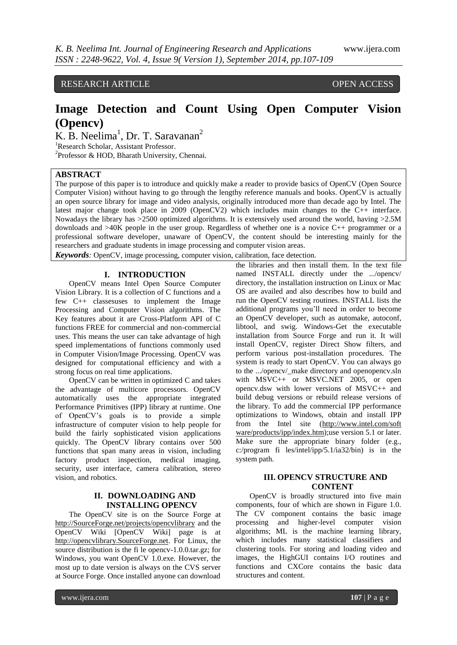RESEARCH ARTICLE **CONTRACT OPEN ACCESS** 

# **Image Detection and Count Using Open Computer Vision (Opencv)**

 $K. \bar{B}$ . Neelima<sup>1</sup>, Dr. T. Saravanan<sup>2</sup> <sup>1</sup>Research Scholar, Assistant Professor.

<sup>2</sup>Professor & HOD, Bharath University, Chennai.

## **ABSTRACT**

The purpose of this paper is to introduce and quickly make a reader to provide basics of OpenCV (Open Source Computer Vision) without having to go through the lengthy reference manuals and books. OpenCV is actually an open source library for image and video analysis, originally introduced more than decade ago by Intel. The latest major change took place in 2009 (OpenCV2) which includes main changes to the C++ interface. Nowadays the library has >2500 optimized algorithms. It is extensively used around the world, having >2.5M downloads and >40K people in the user group. Regardless of whether one is a novice C++ programmer or a professional software developer, unaware of OpenCV, the content should be interesting mainly for the researchers and graduate students in image processing and computer vision areas.

*Keywords:* OpenCV, image processing, computer vision, calibration, face detection.

#### **I. INTRODUCTION**

OpenCV means Intel Open Source Computer Vision Library. It is a collection of C functions and a few C++ classesuses to implement the Image Processing and Computer Vision algorithms. The Key features about it are Cross-Platform API of C functions FREE for commercial and non-commercial uses. This means the user can take advantage of high speed implementations of functions commonly used in Computer Vision/Image Processing. OpenCV was designed for computational efficiency and with a strong focus on real time applications.

OpenCV can be written in optimized C and takes the advantage of multicore processors. OpenCV automatically uses the appropriate integrated Performance Primitives (IPP) library at runtime. One of OpenCV's goals is to provide a simple infrastructure of computer vision to help people for build the fairly sophisticated vision applications quickly. The OpenCV library contains over 500 functions that span many areas in vision, including factory product inspection, medical imaging, security, user interface, camera calibration, stereo vision, and robotics.

## **II. DOWNLOADING AND INSTALLING OPENCV**

The OpenCV site is on the Source Forge at [http://SourceForge.net/projects/opencvlibrary](http://sourceforge.net/projects/opencvlibrary) and the OpenCV Wiki [OpenCV Wiki] page is at [http://opencvlibrary.SourceForge.net.](http://opencvlibrary.sourceforge.net/) For Linux, the source distribution is the fi le opencv-1.0.0.tar.gz; for Windows, you want OpenCV 1.0.exe. However, the most up to date version is always on the CVS server at Source Forge. Once installed anyone can download

the libraries and then install them. In the text file named INSTALL directly under the .../opencv/ directory, the installation instruction on Linux or Mac OS are availed and also describes how to build and run the OpenCV testing routines. INSTALL lists the additional programs you'll need in order to become an OpenCV developer, such as automake, autoconf, libtool, and swig. Windows-Get the executable installation from Source Forge and run it. It will install OpenCV, register Direct Show filters, and perform various post-installation procedures. The system is ready to start OpenCV. You can always go to the .../opencv/\_make directory and openopencv.sln with MSVC++ or MSVC.NET 2005, or open opencv.dsw with lower versions of MSVC++ and build debug versions or rebuild release versions of the library. To add the commercial IPP performance optimizations to Windows, obtain and install IPP from the Intel site [\(http://www.intel.com/soft](http://www.intel.com/soft%20ware/products/ipp/index.htm)  [ware/products/ipp/index.htm\)](http://www.intel.com/soft%20ware/products/ipp/index.htm);use version 5.1 or later. Make sure the appropriate binary folder (e.g., c:/program fi les/intel/ipp/5.1/ia32/bin) is in the system path.

# **III. OPENCV STRUCTURE AND CONTENT**

OpenCV is broadly structured into five main components, four of which are shown in Figure 1.0. The CV component contains the basic image processing and higher-level computer vision algorithms; ML is the machine learning library, which includes many statistical classifiers and clustering tools. For storing and loading video and images, the HighGUI contains I/O routines and functions and CXCore contains the basic data structures and content.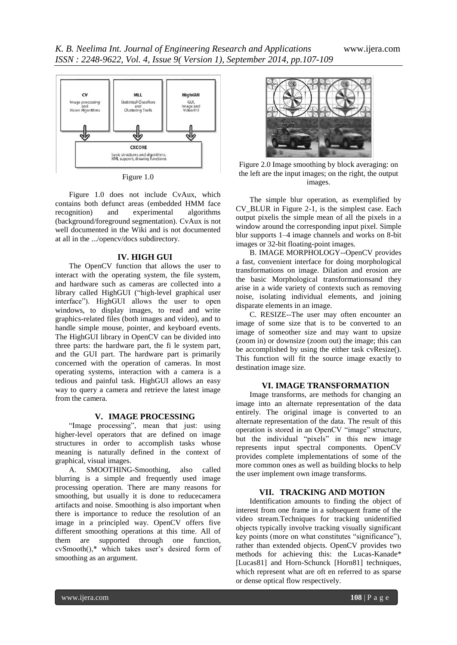

Figure 1.0

Figure 1.0 does not include CvAux, which contains both defunct areas (embedded HMM face recognition) and experimental algorithms (background/foreground segmentation). CvAux is not well documented in the Wiki and is not documented at all in the .../opencv/docs subdirectory.

#### **IV. HIGH GUI**

The OpenCV function that allows the user to interact with the operating system, the file system, and hardware such as cameras are collected into a library called HighGUI ("high-level graphical user interface"). HighGUI allows the user to open windows, to display images, to read and write graphics-related files (both images and video), and to handle simple mouse, pointer, and keyboard events. The HighGUI library in OpenCV can be divided into three parts: the hardware part, the fi le system part, and the GUI part. The hardware part is primarily concerned with the operation of cameras. In most operating systems, interaction with a camera is a tedious and painful task. HighGUI allows an easy way to query a camera and retrieve the latest image from the camera.

#### **V. IMAGE PROCESSING**

"Image processing", mean that just: using higher-level operators that are defined on image structures in order to accomplish tasks whose meaning is naturally defined in the context of graphical, visual images.<br>A. SMOOTHING

SMOOTHING-Smoothing, also called blurring is a simple and frequently used image processing operation. There are many reasons for smoothing, but usually it is done to reducecamera artifacts and noise. Smoothing is also important when there is importance to reduce the resolution of an image in a principled way. OpenCV offers five different smoothing operations at this time. All of them are supported through one function, cvSmooth(),\* which takes user's desired form of smoothing as an argument.



Figure 2.0 Image smoothing by block averaging: on the left are the input images; on the right, the output images.

The simple blur operation, as exemplified by CV\_BLUR in Figure 2-1, is the simplest case. Each output pixelis the simple mean of all the pixels in a window around the corresponding input pixel. Simple blur supports 1–4 image channels and works on 8-bit images or 32-bit floating-point images.

B. IMAGE MORPHOLOGY--OpenCV provides a fast, convenient interface for doing morphological transformations on image. Dilation and erosion are the basic Morphological transformationsand they arise in a wide variety of contexts such as removing noise, isolating individual elements, and joining disparate elements in an image.

C. RESIZE--The user may often encounter an image of some size that is to be converted to an image of someother size and may want to upsize (zoom in) or downsize (zoom out) the image; this can be accomplished by using the either task cvResize(). This function will fit the source image exactly to destination image size.

## **VI. IMAGE TRANSFORMATION**

Image transforms, are methods for changing an image into an alternate representation of the data entirely. The original image is converted to an alternate representation of the data. The result of this operation is stored in an OpenCV "image" structure, but the individual "pixels" in this new image represents input spectral components. OpenCV provides complete implementations of some of the more common ones as well as building blocks to help the user implement own image transforms.

## **VII. TRACKING AND MOTION**

Identification amounts to finding the object of interest from one frame in a subsequent frame of the video stream.Techniques for tracking unidentified objects typically involve tracking visually significant key points (more on what constitutes "significance"), rather than extended objects. OpenCV provides two methods for achieving this: the Lucas-Kanade\* [Lucas81] and Horn-Schunck [Horn81] techniques, which represent what are oft en referred to as sparse or dense optical flow respectively.